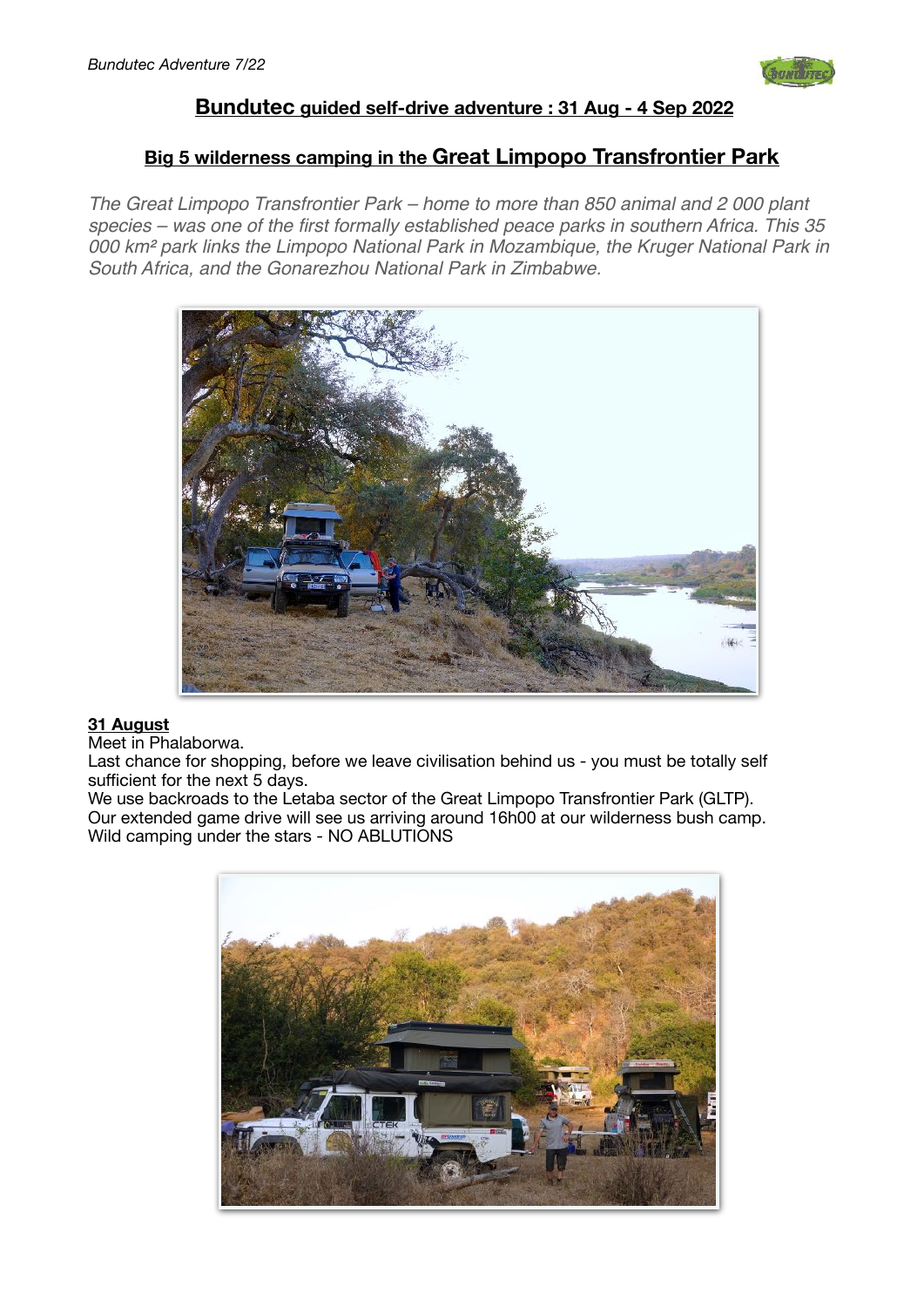

# **Bundutec guided self-drive adventure : 31 Aug - 4 Sep 2022**

# **Big 5 wilderness camping in the Great Limpopo Transfrontier Park**

*The Great Limpopo Transfrontier Park – home to more than 850 animal and 2 000 plant species – was one of the first formally established peace parks in southern Africa. This 35 000 km*² *park links the Limpopo National Park in Mozambique, the Kruger National Park in South Africa, and the Gonarezhou National Park in Zimbabwe.*



## **31 August**

Meet in Phalaborwa.

Last chance for shopping, before we leave civilisation behind us - you must be totally self sufficient for the next 5 days.

We use backroads to the Letaba sector of the Great Limpopo Transfrontier Park (GLTP). Our extended game drive will see us arriving around 16h00 at our wilderness bush camp. Wild camping under the stars - NO ABLUTIONS

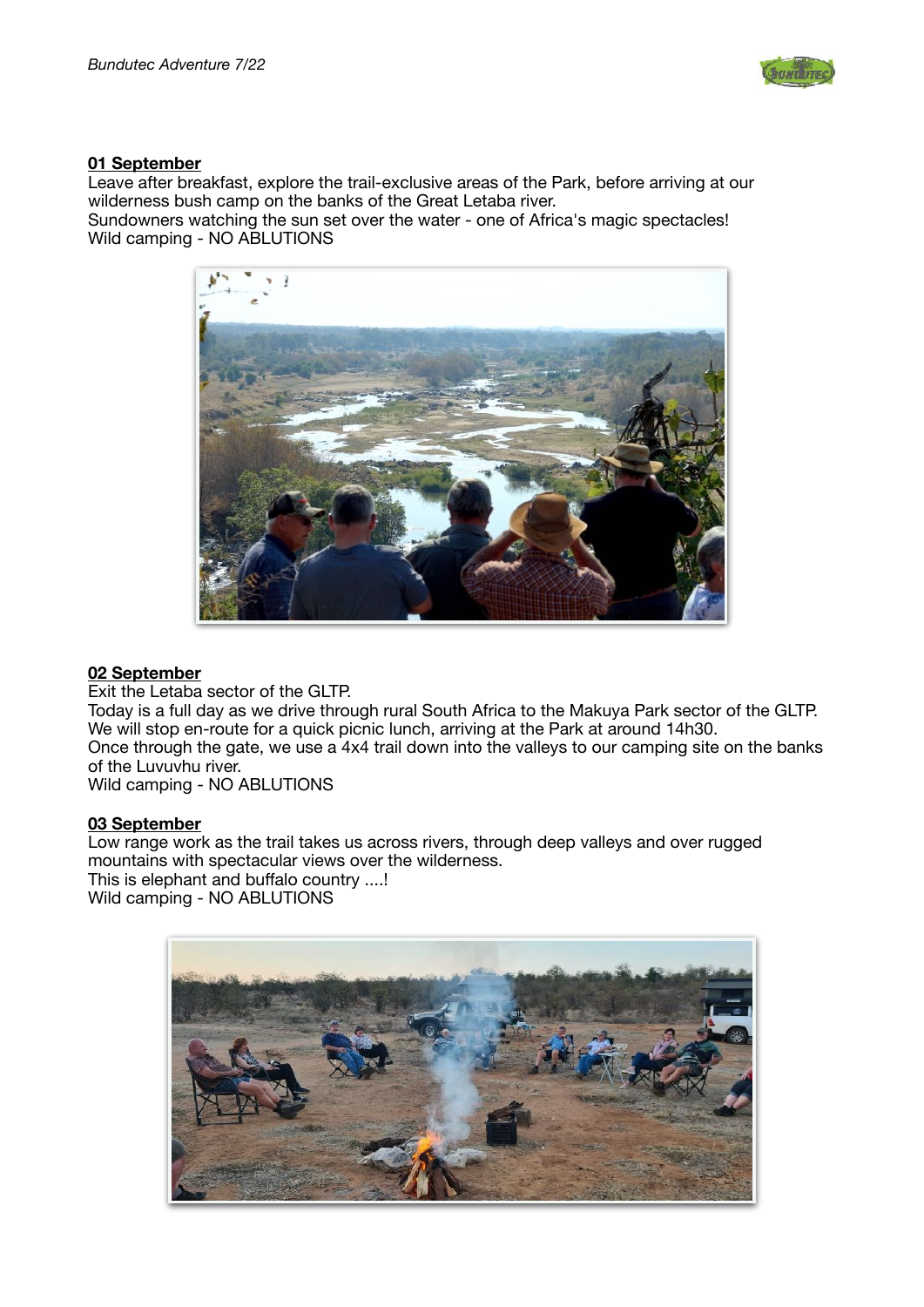

## **01 September**

Leave after breakfast, explore the trail-exclusive areas of the Park, before arriving at our wilderness bush camp on the banks of the Great Letaba river.

Sundowners watching the sun set over the water - one of Africa's magic spectacles! Wild camping - NO ABLUTIONS



## **02 September**

Exit the Letaba sector of the GLTP. Today is a full day as we drive through rural South Africa to the Makuya Park sector of the GLTP. We will stop en-route for a quick picnic lunch, arriving at the Park at around 14h30. Once through the gate, we use a 4x4 trail down into the valleys to our camping site on the banks of the Luvuvhu river. Wild camping - NO ABLUTIONS

#### **03 September**

Low range work as the trail takes us across rivers, through deep valleys and over rugged mountains with spectacular views over the wilderness. This is elephant and buffalo country ....! Wild camping - NO ABLUTIONS